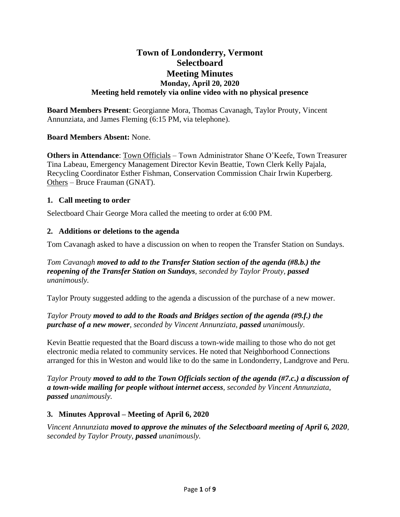# **Town of Londonderry, Vermont Selectboard Meeting Minutes Monday, April 20, 2020 Meeting held remotely via online video with no physical presence**

**Board Members Present**: Georgianne Mora, Thomas Cavanagh, Taylor Prouty, Vincent Annunziata, and James Fleming (6:15 PM, via telephone).

## **Board Members Absent:** None.

**Others in Attendance**: Town Officials – Town Administrator Shane O'Keefe, Town Treasurer Tina Labeau, Emergency Management Director Kevin Beattie, Town Clerk Kelly Pajala, Recycling Coordinator Esther Fishman, Conservation Commission Chair Irwin Kuperberg. Others – Bruce Frauman (GNAT).

## **1. Call meeting to order**

Selectboard Chair George Mora called the meeting to order at 6:00 PM.

## **2. Additions or deletions to the agenda**

Tom Cavanagh asked to have a discussion on when to reopen the Transfer Station on Sundays.

*Tom Cavanagh moved to add to the Transfer Station section of the agenda (#8.b.) the reopening of the Transfer Station on Sundays, seconded by Taylor Prouty, passed unanimously.*

Taylor Prouty suggested adding to the agenda a discussion of the purchase of a new mower.

## *Taylor Prouty moved to add to the Roads and Bridges section of the agenda (#9.f.) the purchase of a new mower, seconded by Vincent Annunziata, passed unanimously.*

Kevin Beattie requested that the Board discuss a town-wide mailing to those who do not get electronic media related to community services. He noted that Neighborhood Connections arranged for this in Weston and would like to do the same in Londonderry, Landgrove and Peru.

*Taylor Prouty moved to add to the Town Officials section of the agenda (#7.c.) a discussion of a town-wide mailing for people without internet access, seconded by Vincent Annunziata, passed unanimously.*

## **3. Minutes Approval – Meeting of April 6, 2020**

*Vincent Annunziata moved to approve the minutes of the Selectboard meeting of April 6, 2020, seconded by Taylor Prouty, passed unanimously.*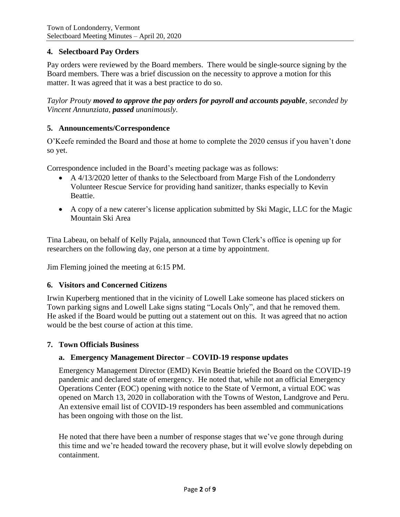## **4. Selectboard Pay Orders**

Pay orders were reviewed by the Board members. There would be single-source signing by the Board members. There was a brief discussion on the necessity to approve a motion for this matter. It was agreed that it was a best practice to do so.

*Taylor Prouty moved to approve the pay orders for payroll and accounts payable, seconded by Vincent Annunziata, passed unanimously.*

### **5. Announcements/Correspondence**

O'Keefe reminded the Board and those at home to complete the 2020 census if you haven't done so yet.

Correspondence included in the Board's meeting package was as follows:

- A 4/13/2020 letter of thanks to the Selectboard from Marge Fish of the Londonderry Volunteer Rescue Service for providing hand sanitizer, thanks especially to Kevin Beattie.
- A copy of a new caterer's license application submitted by Ski Magic, LLC for the Magic Mountain Ski Area

Tina Labeau, on behalf of Kelly Pajala, announced that Town Clerk's office is opening up for researchers on the following day, one person at a time by appointment.

Jim Fleming joined the meeting at 6:15 PM.

### **6. Visitors and Concerned Citizens**

Irwin Kuperberg mentioned that in the vicinity of Lowell Lake someone has placed stickers on Town parking signs and Lowell Lake signs stating "Locals Only", and that he removed them. He asked if the Board would be putting out a statement out on this. It was agreed that no action would be the best course of action at this time.

#### **7. Town Officials Business**

### **a. Emergency Management Director – COVID-19 response updates**

Emergency Management Director (EMD) Kevin Beattie briefed the Board on the COVID-19 pandemic and declared state of emergency. He noted that, while not an official Emergency Operations Center (EOC) opening with notice to the State of Vermont, a virtual EOC was opened on March 13, 2020 in collaboration with the Towns of Weston, Landgrove and Peru. An extensive email list of COVID-19 responders has been assembled and communications has been ongoing with those on the list.

He noted that there have been a number of response stages that we've gone through during this time and we're headed toward the recovery phase, but it will evolve slowly depebding on containment.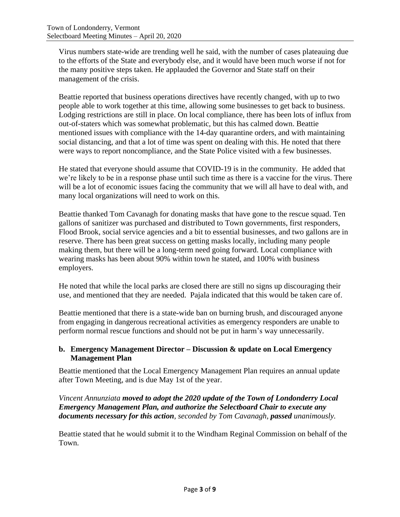Virus numbers state-wide are trending well he said, with the number of cases plateauing due to the efforts of the State and everybody else, and it would have been much worse if not for the many positive steps taken. He applauded the Governor and State staff on their management of the crisis.

Beattie reported that business operations directives have recently changed, with up to two people able to work together at this time, allowing some businesses to get back to business. Lodging restrictions are still in place. On local compliance, there has been lots of influx from out-of-staters which was somewhat problematic, but this has calmed down. Beattie mentioned issues with compliance with the 14-day quarantine orders, and with maintaining social distancing, and that a lot of time was spent on dealing with this. He noted that there were ways to report noncompliance, and the State Police visited with a few businesses.

He stated that everyone should assume that COVID-19 is in the community. He added that we're likely to be in a response phase until such time as there is a vaccine for the virus. There will be a lot of economic issues facing the community that we will all have to deal with, and many local organizations will need to work on this.

Beattie thanked Tom Cavanagh for donating masks that have gone to the rescue squad. Ten gallons of sanitizer was purchased and distributed to Town governments, first responders, Flood Brook, social service agencies and a bit to essential businesses, and two gallons are in reserve. There has been great success on getting masks locally, including many people making them, but there will be a long-term need going forward. Local compliance with wearing masks has been about 90% within town he stated, and 100% with business employers.

He noted that while the local parks are closed there are still no signs up discouraging their use, and mentioned that they are needed. Pajala indicated that this would be taken care of.

Beattie mentioned that there is a state-wide ban on burning brush, and discouraged anyone from engaging in dangerous recreational activities as emergency responders are unable to perform normal rescue functions and should not be put in harm's way unnecessarily.

## **b. Emergency Management Director – Discussion & update on Local Emergency Management Plan**

Beattie mentioned that the Local Emergency Management Plan requires an annual update after Town Meeting, and is due May 1st of the year.

*Vincent Annunziata moved to adopt the 2020 update of the Town of Londonderry Local Emergency Management Plan, and authorize the Selectboard Chair to execute any documents necessary for this action, seconded by Tom Cavanagh, passed unanimously.*

Beattie stated that he would submit it to the Windham Reginal Commission on behalf of the Town.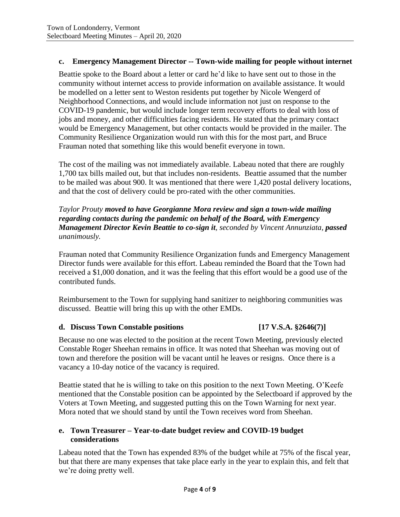## **c. Emergency Management Director -- Town-wide mailing for people without internet**

Beattie spoke to the Board about a letter or card he'd like to have sent out to those in the community without internet access to provide information on available assistance. It would be modelled on a letter sent to Weston residents put together by Nicole Wengerd of Neighborhood Connections, and would include information not just on response to the COVID-19 pandemic, but would include longer term recovery efforts to deal with loss of jobs and money, and other difficulties facing residents. He stated that the primary contact would be Emergency Management, but other contacts would be provided in the mailer. The Community Resilience Organization would run with this for the most part, and Bruce Frauman noted that something like this would benefit everyone in town.

The cost of the mailing was not immediately available. Labeau noted that there are roughly 1,700 tax bills mailed out, but that includes non-residents. Beattie assumed that the number to be mailed was about 900. It was mentioned that there were 1,420 postal delivery locations, and that the cost of delivery could be pro-rated with the other communities.

## *Taylor Prouty moved to have Georgianne Mora review and sign a town-wide mailing regarding contacts during the pandemic on behalf of the Board, with Emergency Management Director Kevin Beattie to co-sign it, seconded by Vincent Annunziata, passed unanimously.*

Frauman noted that Community Resilience Organization funds and Emergency Management Director funds were available for this effort. Labeau reminded the Board that the Town had received a \$1,000 donation, and it was the feeling that this effort would be a good use of the contributed funds.

Reimbursement to the Town for supplying hand sanitizer to neighboring communities was discussed. Beattie will bring this up with the other EMDs.

### **d. Discuss Town Constable positions [17 V.S.A. §2646(7)]**

Because no one was elected to the position at the recent Town Meeting, previously elected Constable Roger Sheehan remains in office. It was noted that Sheehan was moving out of town and therefore the position will be vacant until he leaves or resigns. Once there is a vacancy a 10-day notice of the vacancy is required.

Beattie stated that he is willing to take on this position to the next Town Meeting. O'Keefe mentioned that the Constable position can be appointed by the Selectboard if approved by the Voters at Town Meeting, and suggested putting this on the Town Warning for next year. Mora noted that we should stand by until the Town receives word from Sheehan.

## **e. Town Treasurer – Year-to-date budget review and COVID-19 budget considerations**

Labeau noted that the Town has expended 83% of the budget while at 75% of the fiscal year, but that there are many expenses that take place early in the year to explain this, and felt that we're doing pretty well.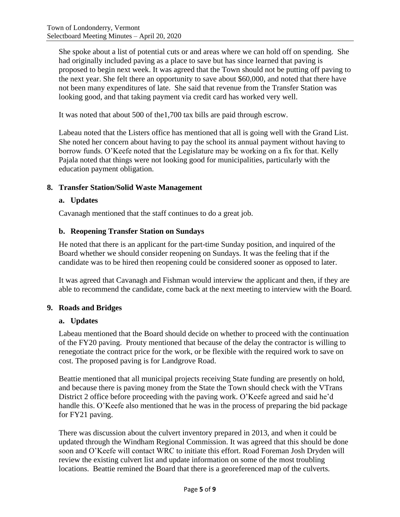She spoke about a list of potential cuts or and areas where we can hold off on spending. She had originally included paving as a place to save but has since learned that paving is proposed to begin next week. It was agreed that the Town should not be putting off paving to the next year. She felt there an opportunity to save about \$60,000, and noted that there have not been many expenditures of late. She said that revenue from the Transfer Station was looking good, and that taking payment via credit card has worked very well.

It was noted that about 500 of the1,700 tax bills are paid through escrow.

Labeau noted that the Listers office has mentioned that all is going well with the Grand List. She noted her concern about having to pay the school its annual payment without having to borrow funds. O'Keefe noted that the Legislature may be working on a fix for that. Kelly Pajala noted that things were not looking good for municipalities, particularly with the education payment obligation.

### **8. Transfer Station/Solid Waste Management**

### **a. Updates**

Cavanagh mentioned that the staff continues to do a great job.

### **b. Reopening Transfer Station on Sundays**

He noted that there is an applicant for the part-time Sunday position, and inquired of the Board whether we should consider reopening on Sundays. It was the feeling that if the candidate was to be hired then reopening could be considered sooner as opposed to later.

It was agreed that Cavanagh and Fishman would interview the applicant and then, if they are able to recommend the candidate, come back at the next meeting to interview with the Board.

### **9. Roads and Bridges**

### **a. Updates**

Labeau mentioned that the Board should decide on whether to proceed with the continuation of the FY20 paving. Prouty mentioned that because of the delay the contractor is willing to renegotiate the contract price for the work, or be flexible with the required work to save on cost. The proposed paving is for Landgrove Road.

Beattie mentioned that all municipal projects receiving State funding are presently on hold, and because there is paving money from the State the Town should check with the VTrans District 2 office before proceeding with the paving work. O'Keefe agreed and said he'd handle this. O'Keefe also mentioned that he was in the process of preparing the bid package for FY21 paving.

There was discussion about the culvert inventory prepared in 2013, and when it could be updated through the Windham Regional Commission. It was agreed that this should be done soon and O'Keefe will contact WRC to initiate this effort. Road Foreman Josh Dryden will review the existing culvert list and update information on some of the most troubling locations. Beattie remined the Board that there is a georeferenced map of the culverts.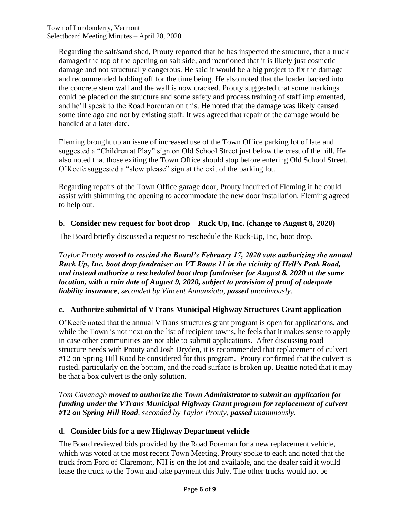Regarding the salt/sand shed, Prouty reported that he has inspected the structure, that a truck damaged the top of the opening on salt side, and mentioned that it is likely just cosmetic damage and not structurally dangerous. He said it would be a big project to fix the damage and recommended holding off for the time being. He also noted that the loader backed into the concrete stem wall and the wall is now cracked. Prouty suggested that some markings could be placed on the structure and some safety and process training of staff implemented, and he'll speak to the Road Foreman on this. He noted that the damage was likely caused some time ago and not by existing staff. It was agreed that repair of the damage would be handled at a later date.

Fleming brought up an issue of increased use of the Town Office parking lot of late and suggested a "Children at Play" sign on Old School Street just below the crest of the hill. He also noted that those exiting the Town Office should stop before entering Old School Street. O'Keefe suggested a "slow please" sign at the exit of the parking lot.

Regarding repairs of the Town Office garage door, Prouty inquired of Fleming if he could assist with shimming the opening to accommodate the new door installation. Fleming agreed to help out.

## **b. Consider new request for boot drop – Ruck Up, Inc. (change to August 8, 2020)**

The Board briefly discussed a request to reschedule the Ruck-Up, Inc, boot drop.

*Taylor Prouty moved to rescind the Board's February 17, 2020 vote authorizing the annual Ruck Up, Inc. boot drop fundraiser on VT Route 11 in the vicinity of Hell's Peak Road, and instead authorize a rescheduled boot drop fundraiser for August 8, 2020 at the same location, with a rain date of August 9, 2020, subject to provision of proof of adequate liability insurance, seconded by Vincent Annunziata, passed unanimously.*

## **c. Authorize submittal of VTrans Municipal Highway Structures Grant application**

O'Keefe noted that the annual VTrans structures grant program is open for applications, and while the Town is not next on the list of recipient towns, he feels that it makes sense to apply in case other communities are not able to submit applications. After discussing road structure needs with Prouty and Josh Dryden, it is recommended that replacement of culvert #12 on Spring Hill Road be considered for this program. Prouty confirmed that the culvert is rusted, particularly on the bottom, and the road surface is broken up. Beattie noted that it may be that a box culvert is the only solution.

*Tom Cavanagh moved to authorize the Town Administrator to submit an application for funding under the VTrans Municipal Highway Grant program for replacement of culvert #12 on Spring Hill Road, seconded by Taylor Prouty, passed unanimously.*

## **d. Consider bids for a new Highway Department vehicle**

The Board reviewed bids provided by the Road Foreman for a new replacement vehicle, which was voted at the most recent Town Meeting. Prouty spoke to each and noted that the truck from Ford of Claremont, NH is on the lot and available, and the dealer said it would lease the truck to the Town and take payment this July. The other trucks would not be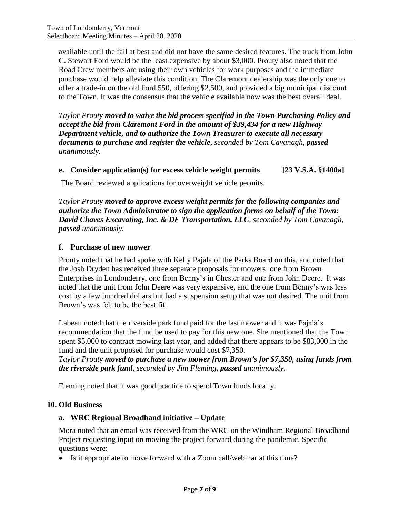available until the fall at best and did not have the same desired features. The truck from John C. Stewart Ford would be the least expensive by about \$3,000. Prouty also noted that the Road Crew members are using their own vehicles for work purposes and the immediate purchase would help alleviate this condition. The Claremont dealership was the only one to offer a trade-in on the old Ford 550, offering \$2,500, and provided a big municipal discount to the Town. It was the consensus that the vehicle available now was the best overall deal.

*Taylor Prouty moved to waive the bid process specified in the Town Purchasing Policy and accept the bid from Claremont Ford in the amount of \$39,434 for a new Highway Department vehicle, and to authorize the Town Treasurer to execute all necessary documents to purchase and register the vehicle, seconded by Tom Cavanagh, passed unanimously.*

## **e. Consider application(s) for excess vehicle weight permits [23 V.S.A. §1400a]**

The Board reviewed applications for overweight vehicle permits.

*Taylor Prouty moved to approve excess weight permits for the following companies and authorize the Town Administrator to sign the application forms on behalf of the Town: David Chaves Excavating, Inc. & DF Transportation, LLC, seconded by Tom Cavanagh, passed unanimously.*

## **f. Purchase of new mower**

Prouty noted that he had spoke with Kelly Pajala of the Parks Board on this, and noted that the Josh Dryden has received three separate proposals for mowers: one from Brown Enterprises in Londonderry, one from Benny's in Chester and one from John Deere. It was noted that the unit from John Deere was very expensive, and the one from Benny's was less cost by a few hundred dollars but had a suspension setup that was not desired. The unit from Brown's was felt to be the best fit.

Labeau noted that the riverside park fund paid for the last mower and it was Pajala's recommendation that the fund be used to pay for this new one. She mentioned that the Town spent \$5,000 to contract mowing last year, and added that there appears to be \$83,000 in the fund and the unit proposed for purchase would cost \$7,350.

*Taylor Prouty moved to purchase a new mower from Brown's for \$7,350, using funds from the riverside park fund, seconded by Jim Fleming, passed unanimously.*

Fleming noted that it was good practice to spend Town funds locally.

### **10. Old Business**

## **a. WRC Regional Broadband initiative – Update**

Mora noted that an email was received from the WRC on the Windham Regional Broadband Project requesting input on moving the project forward during the pandemic. Specific questions were:

• Is it appropriate to move forward with a Zoom call/webinar at this time?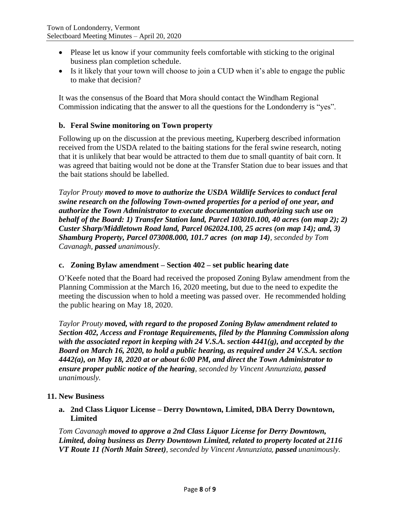- Please let us know if your community feels comfortable with sticking to the original business plan completion schedule.
- Is it likely that your town will choose to join a CUD when it's able to engage the public to make that decision?

It was the consensus of the Board that Mora should contact the Windham Regional Commission indicating that the answer to all the questions for the Londonderry is "yes".

## **b. Feral Swine monitoring on Town property**

Following up on the discussion at the previous meeting, Kuperberg described information received from the USDA related to the baiting stations for the feral swine research, noting that it is unlikely that bear would be attracted to them due to small quantity of bait corn. It was agreed that baiting would not be done at the Transfer Station due to bear issues and that the bait stations should be labelled.

*Taylor Prouty moved to move to authorize the USDA Wildlife Services to conduct feral swine research on the following Town-owned properties for a period of one year, and authorize the Town Administrator to execute documentation authorizing such use on behalf of the Board: 1) Transfer Station land, Parcel 103010.100, 40 acres (on map 2); 2) Custer Sharp/Middletown Road land, Parcel 062024.100, 25 acres (on map 14); and, 3) Shamburg Property, Parcel 073008.000, 101.7 acres (on map 14), seconded by Tom Cavanagh, passed unanimously.*

## **c. Zoning Bylaw amendment – Section 402 – set public hearing date**

O'Keefe noted that the Board had received the proposed Zoning Bylaw amendment from the Planning Commission at the March 16, 2020 meeting, but due to the need to expedite the meeting the discussion when to hold a meeting was passed over. He recommended holding the public hearing on May 18, 2020.

*Taylor Prouty moved, with regard to the proposed Zoning Bylaw amendment related to Section 402, Access and Frontage Requirements, filed by the Planning Commission along with the associated report in keeping with 24 V.S.A. section 4441(g), and accepted by the Board on March 16, 2020, to hold a public hearing, as required under 24 V.S.A. section 4442(a), on May 18, 2020 at or about 6:00 PM, and direct the Town Administrator to ensure proper public notice of the hearing, seconded by Vincent Annunziata, passed unanimously.*

## **11. New Business**

**a. 2nd Class Liquor License – Derry Downtown, Limited, DBA Derry Downtown, Limited**

*Tom Cavanagh moved to approve a 2nd Class Liquor License for Derry Downtown, Limited, doing business as Derry Downtown Limited, related to property located at 2116 VT Route 11 (North Main Street), seconded by Vincent Annunziata, passed unanimously.*